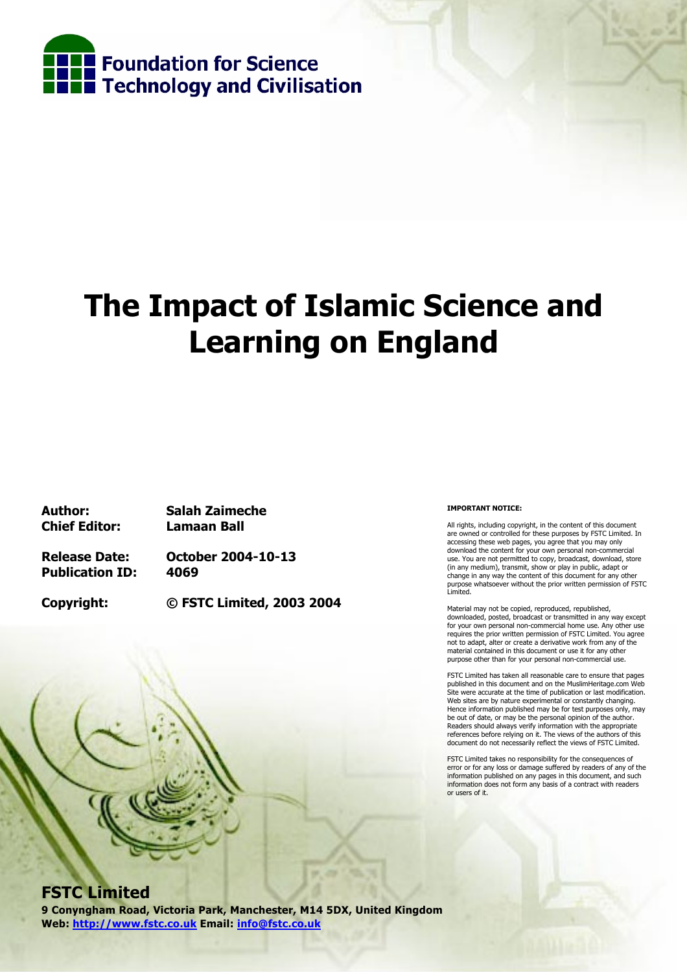

# **The Impact of Islamic Science and Learning on England**

**Chief Editor: Lamaan Ball** 

**Author: Salah Zaimeche** 

**Publication ID: 4069** 

**Release Date: October 2004-10-13** 

**Copyright: © FSTC Limited, 2003 2004** 

#### **IMPORTANT NOTICE:**

All rights, including copyright, in the content of this document are owned or controlled for these purposes by FSTC Limited. In accessing these web pages, you agree that you may only download the content for your own personal non-commercial use. You are not permitted to copy, broadcast, download, store (in any medium), transmit, show or play in public, adapt or change in any way the content of this document for any other purpose whatsoever without the prior written permission of FSTC Limited.

Material may not be copied, reproduced, republished, downloaded, posted, broadcast or transmitted in any way except for your own personal non-commercial home use. Any other use requires the prior written permission of FSTC Limited. You agree not to adapt, alter or create a derivative work from any of the material contained in this document or use it for any other purpose other than for your personal non-commercial use.

FSTC Limited has taken all reasonable care to ensure that pages published in this document and on the MuslimHeritage.com Web Site were accurate at the time of publication or last modification. Web sites are by nature experimental or constantly changing. Hence information published may be for test purposes only, may be out of date, or may be the personal opinion of the author. Readers should always verify information with the appropriate references before relying on it. The views of the authors of this document do not necessarily reflect the views of FSTC Limited.

FSTC Limited takes no responsibility for the consequences of error or for any loss or damage suffered by readers of any of the information published on any pages in this document, and such information does not form any basis of a contract with readers or users of it.

### **FSTC Limited**

**9 Conyngham Road, Victoria Park, Manchester, M14 5DX, United Kingdom Web: http://www.fstc.co.uk Email: info@fstc.co.uk**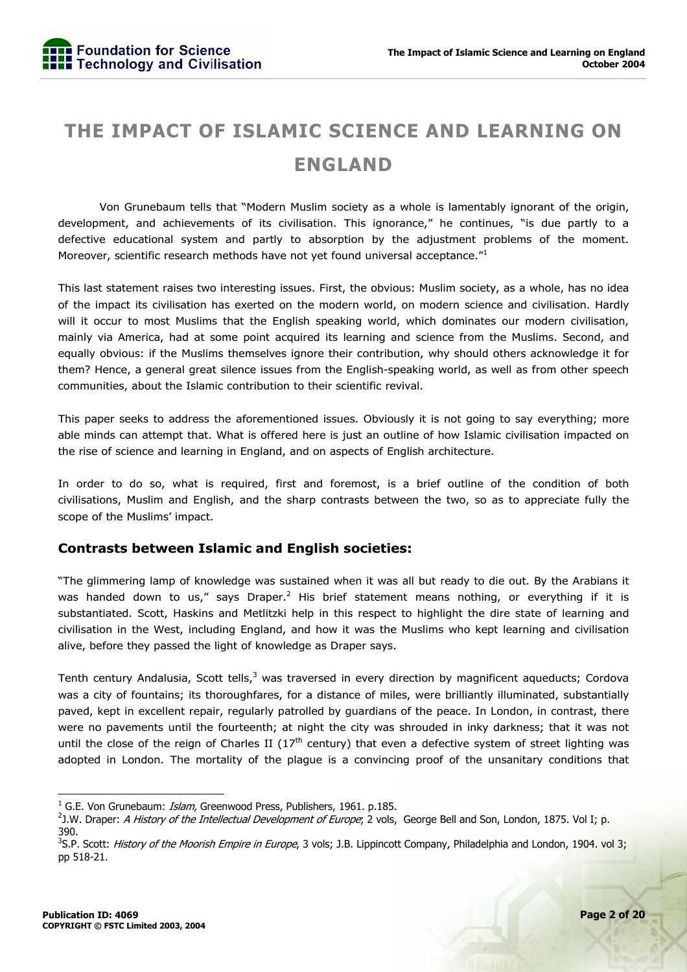## **THE IMPACT OF ISLAMIC SCIENCE AND LEARNING ON ENGLAND**

 Von Grunebaum tells that "Modern Muslim society as a whole is lamentably ignorant of the origin, development, and achievements of its civilisation. This ignorance," he continues, "is due partly to a defective educational system and partly to absorption by the adjustment problems of the moment. Moreover, scientific research methods have not yet found universal acceptance."<sup>1</sup>

This last statement raises two interesting issues. First, the obvious: Muslim society, as a whole, has no idea of the impact its civilisation has exerted on the modern world, on modern science and civilisation. Hardly will it occur to most Muslims that the English speaking world, which dominates our modern civilisation, mainly via America, had at some point acquired its learning and science from the Muslims. Second, and equally obvious: if the Muslims themselves ignore their contribution, why should others acknowledge it for them? Hence, a general great silence issues from the English-speaking world, as well as from other speech communities, about the Islamic contribution to their scientific revival.

This paper seeks to address the aforementioned issues. Obviously it is not going to say everything; more able minds can attempt that. What is offered here is just an outline of how Islamic civilisation impacted on the rise of science and learning in England, and on aspects of English architecture.

In order to do so, what is required, first and foremost, is a brief outline of the condition of both civilisations, Muslim and English, and the sharp contrasts between the two, so as to appreciate fully the scope of the Muslims' impact.

#### **Contrasts between Islamic and English societies:**

"The glimmering lamp of knowledge was sustained when it was all but ready to die out. By the Arabians it was handed down to us," says Draper.<sup>2</sup> His brief statement means nothing, or everything if it is substantiated. Scott, Haskins and Metlitzki help in this respect to highlight the dire state of learning and civilisation in the West, including England, and how it was the Muslims who kept learning and civilisation alive, before they passed the light of knowledge as Draper says.

Tenth century Andalusia, Scott tells,<sup>3</sup> was traversed in every direction by magnificent aqueducts; Cordova was a city of fountains; its thoroughfares, for a distance of miles, were brilliantly illuminated, substantially paved, kept in excellent repair, regularly patrolled by guardians of the peace. In London, in contrast, there were no pavements until the fourteenth; at night the city was shrouded in inky darkness; that it was not until the close of the reign of Charles II (17<sup>th</sup> century) that even a defective system of street lighting was adopted in London. The mortality of the plague is a convincing proof of the unsanitary conditions that

<sup>&</sup>lt;sup>1</sup> G.E. Von Grunebaum: *Islam,* Greenwood Press, Publishers, 1961. p.185.<br><sup>2</sup>1 W. Drapor: *A History of the Intellectual Development of Europe*, 2 velo

<sup>&</sup>lt;sup>2</sup>J.W. Draper: A History of the Intellectual Development of Europe; 2 vols, George Bell and Son, London, 1875. Vol I; p. 390.

<sup>&</sup>lt;sup>3</sup>S.P. Scott: *History of the Moorish Empire in Europe*, 3 vols; J.B. Lippincott Company, Philadelphia and London, 1904. vol 3; pp 518-21.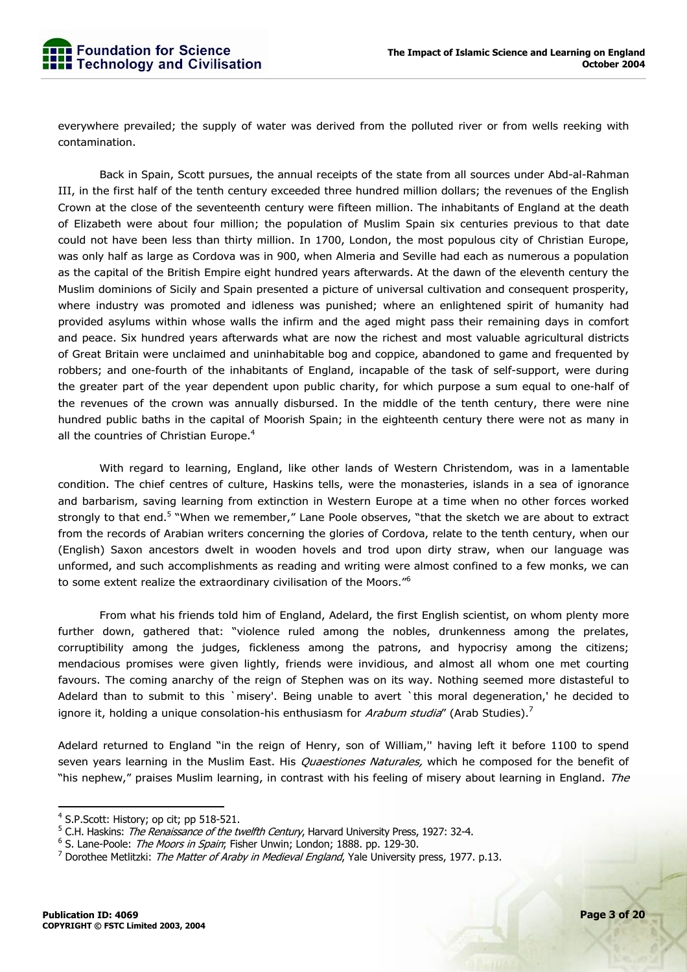everywhere prevailed; the supply of water was derived from the polluted river or from wells reeking with contamination.

 Back in Spain, Scott pursues, the annual receipts of the state from all sources under Abd-al-Rahman III, in the first half of the tenth century exceeded three hundred million dollars; the revenues of the English Crown at the close of the seventeenth century were fifteen million. The inhabitants of England at the death of Elizabeth were about four million; the population of Muslim Spain six centuries previous to that date could not have been less than thirty million. In 1700, London, the most populous city of Christian Europe, was only half as large as Cordova was in 900, when Almeria and Seville had each as numerous a population as the capital of the British Empire eight hundred years afterwards. At the dawn of the eleventh century the Muslim dominions of Sicily and Spain presented a picture of universal cultivation and consequent prosperity, where industry was promoted and idleness was punished; where an enlightened spirit of humanity had provided asylums within whose walls the infirm and the aged might pass their remaining days in comfort and peace. Six hundred years afterwards what are now the richest and most valuable agricultural districts of Great Britain were unclaimed and uninhabitable bog and coppice, abandoned to game and frequented by robbers; and one-fourth of the inhabitants of England, incapable of the task of self-support, were during the greater part of the year dependent upon public charity, for which purpose a sum equal to one-half of the revenues of the crown was annually disbursed. In the middle of the tenth century, there were nine hundred public baths in the capital of Moorish Spain; in the eighteenth century there were not as many in all the countries of Christian Europe. $4$ 

 With regard to learning, England, like other lands of Western Christendom, was in a lamentable condition. The chief centres of culture, Haskins tells, were the monasteries, islands in a sea of ignorance and barbarism, saving learning from extinction in Western Europe at a time when no other forces worked strongly to that end.<sup>5</sup> "When we remember," Lane Poole observes, "that the sketch we are about to extract from the records of Arabian writers concerning the glories of Cordova, relate to the tenth century, when our (English) Saxon ancestors dwelt in wooden hovels and trod upon dirty straw, when our language was unformed, and such accomplishments as reading and writing were almost confined to a few monks, we can to some extent realize the extraordinary civilisation of the Moors."<sup>6</sup>

 From what his friends told him of England, Adelard, the first English scientist, on whom plenty more further down, gathered that: "violence ruled among the nobles, drunkenness among the prelates, corruptibility among the judges, fickleness among the patrons, and hypocrisy among the citizens; mendacious promises were given lightly, friends were invidious, and almost all whom one met courting favours. The coming anarchy of the reign of Stephen was on its way. Nothing seemed more distasteful to Adelard than to submit to this `misery'. Being unable to avert `this moral degeneration,' he decided to ignore it, holding a unique consolation-his enthusiasm for *Arabum studia*" (Arab Studies).<sup>7</sup>

Adelard returned to England "in the reign of Henry, son of William,'' having left it before 1100 to spend seven years learning in the Muslim East. His *Quaestiones Naturales*, which he composed for the benefit of "his nephew," praises Muslim learning, in contrast with his feeling of misery about learning in England. The

<sup>&</sup>lt;sup>4</sup> S.P.Scott: History; op cit; pp 518-521.

<sup>&</sup>lt;sup>5</sup> C.H. Haskins: *The Renaissance of the twelfth Century*, Harvard University Press, 1927: 32-4.

<sup>&</sup>lt;sup>6</sup> S. Lane-Poole: *The Moors in Spain*; Fisher Unwin; London; 1888. pp. 129-30.<br><sup>7</sup> Derethee Metlitzki: *The Matter of Araby in Medieval England*, Yale University r

<sup>&</sup>lt;sup>7</sup> Dorothee Metlitzki: The Matter of Araby in Medieval England, Yale University press, 1977. p.13.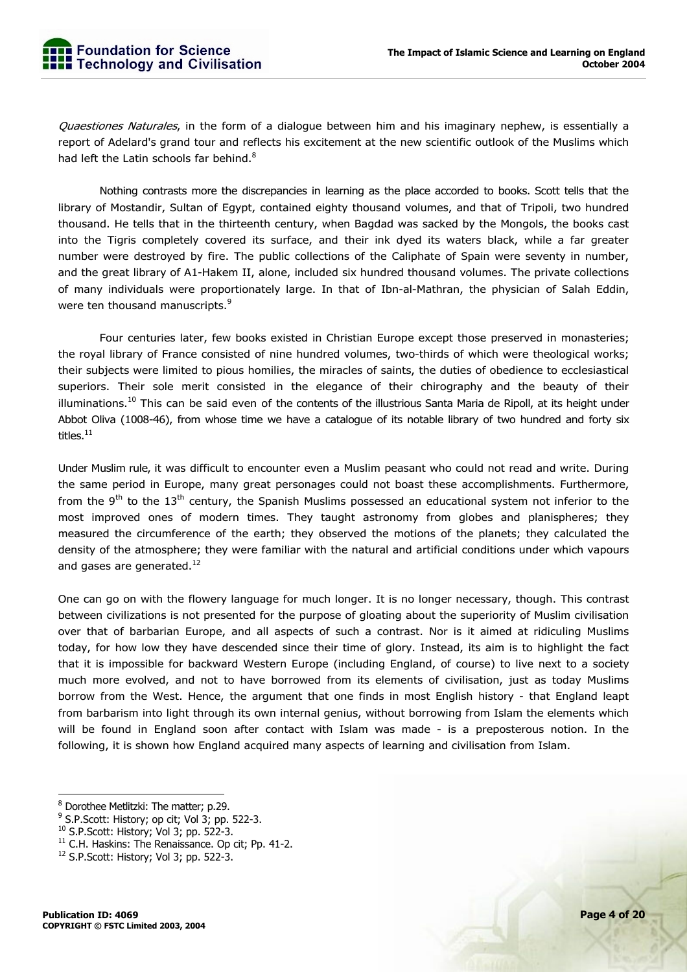Quaestiones Naturales, in the form of a dialogue between him and his imaginary nephew, is essentially a report of Adelard's grand tour and reflects his excitement at the new scientific outlook of the Muslims which had left the Latin schools far behind.<sup>8</sup>

 Nothing contrasts more the discrepancies in learning as the place accorded to books. Scott tells that the library of Mostandir, Sultan of Egypt, contained eighty thousand volumes, and that of Tripoli, two hundred thousand. He tells that in the thirteenth century, when Bagdad was sacked by the Mongols, the books cast into the Tigris completely covered its surface, and their ink dyed its waters black, while a far greater number were destroyed by fire. The public collections of the Caliphate of Spain were seventy in number, and the great library of A1-Hakem II, alone, included six hundred thousand volumes. The private collections of many individuals were proportionately large. In that of Ibn-al-Mathran, the physician of Salah Eddin, were ten thousand manuscripts.<sup>9</sup>

 Four centuries later, few books existed in Christian Europe except those preserved in monasteries; the royal library of France consisted of nine hundred volumes, two-thirds of which were theological works; their subjects were limited to pious homilies, the miracles of saints, the duties of obedience to ecclesiastical superiors. Their sole merit consisted in the elegance of their chirography and the beauty of their illuminations.<sup>10</sup> This can be said even of the contents of the illustrious Santa Maria de Ripoll, at its height under Abbot Oliva (1008-46), from whose time we have a catalogue of its notable library of two hundred and forty six titles.<sup>11</sup>

Under Muslim rule, it was difficult to encounter even a Muslim peasant who could not read and write. During the same period in Europe, many great personages could not boast these accomplishments. Furthermore, from the 9<sup>th</sup> to the 13<sup>th</sup> century, the Spanish Muslims possessed an educational system not inferior to the most improved ones of modern times. They taught astronomy from globes and planispheres; they measured the circumference of the earth; they observed the motions of the planets; they calculated the density of the atmosphere; they were familiar with the natural and artificial conditions under which vapours and gases are generated. $^{12}$ 

One can go on with the flowery language for much longer. It is no longer necessary, though. This contrast between civilizations is not presented for the purpose of gloating about the superiority of Muslim civilisation over that of barbarian Europe, and all aspects of such a contrast. Nor is it aimed at ridiculing Muslims today, for how low they have descended since their time of glory. Instead, its aim is to highlight the fact that it is impossible for backward Western Europe (including England, of course) to live next to a society much more evolved, and not to have borrowed from its elements of civilisation, just as today Muslims borrow from the West. Hence, the argument that one finds in most English history - that England leapt from barbarism into light through its own internal genius, without borrowing from Islam the elements which will be found in England soon after contact with Islam was made - is a preposterous notion. In the following, it is shown how England acquired many aspects of learning and civilisation from Islam.

<sup>&</sup>lt;sup>8</sup> Dorothee Metlitzki: The matter; p.29.

 $9$  S.P.Scott: History; op cit; Vol 3; pp. 522-3.

<sup>&</sup>lt;sup>10</sup> S.P.Scott: History; Vol 3; pp. 522-3.<br><sup>11</sup> C.H. Haskins: The Renaissance. Op cit; Pp. 41-2.

 $12$  S.P.Scott: History; Vol 3; pp. 522-3.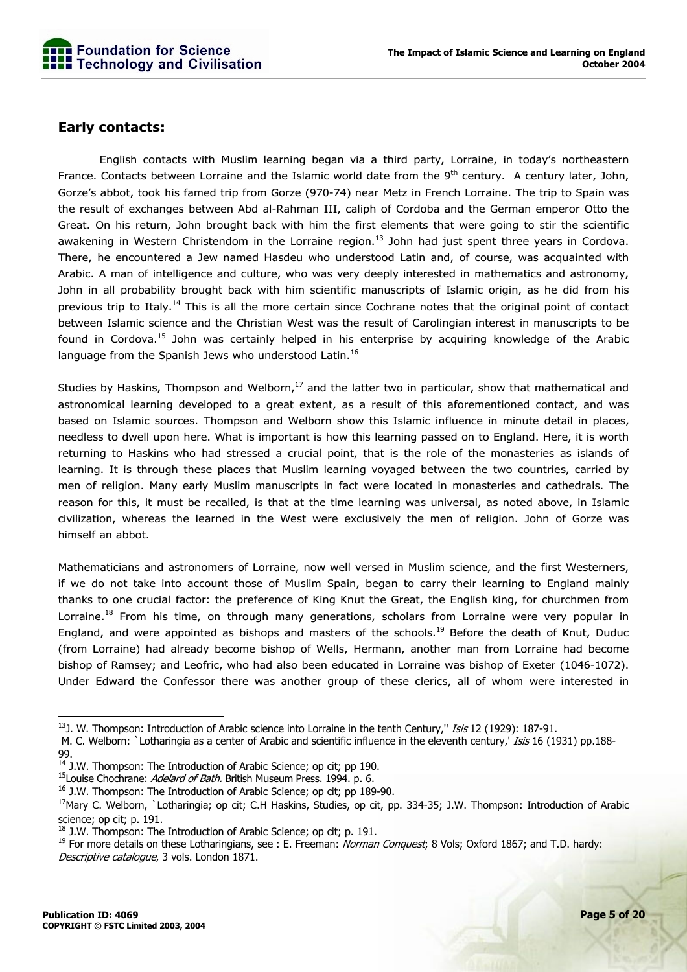

#### **Early contacts:**

 English contacts with Muslim learning began via a third party, Lorraine, in today's northeastern France. Contacts between Lorraine and the Islamic world date from the  $9<sup>th</sup>$  century. A century later, John, Gorze's abbot, took his famed trip from Gorze (970-74) near Metz in French Lorraine. The trip to Spain was the result of exchanges between Abd al-Rahman III, caliph of Cordoba and the German emperor Otto the Great. On his return, John brought back with him the first elements that were going to stir the scientific awakening in Western Christendom in the Lorraine region.<sup>13</sup> John had just spent three years in Cordova. There, he encountered a Jew named Hasdeu who understood Latin and, of course, was acquainted with Arabic. A man of intelligence and culture, who was very deeply interested in mathematics and astronomy, John in all probability brought back with him scientific manuscripts of Islamic origin, as he did from his previous trip to Italy.14 This is all the more certain since Cochrane notes that the original point of contact between Islamic science and the Christian West was the result of Carolingian interest in manuscripts to be found in Cordova.<sup>15</sup> John was certainly helped in his enterprise by acquiring knowledge of the Arabic language from the Spanish Jews who understood Latin.<sup>16</sup>

Studies by Haskins, Thompson and Welborn,<sup>17</sup> and the latter two in particular, show that mathematical and astronomical learning developed to a great extent, as a result of this aforementioned contact, and was based on Islamic sources. Thompson and Welborn show this Islamic influence in minute detail in places, needless to dwell upon here. What is important is how this learning passed on to England. Here, it is worth returning to Haskins who had stressed a crucial point, that is the role of the monasteries as islands of learning. It is through these places that Muslim learning voyaged between the two countries, carried by men of religion. Many early Muslim manuscripts in fact were located in monasteries and cathedrals. The reason for this, it must be recalled, is that at the time learning was universal, as noted above, in Islamic civilization, whereas the learned in the West were exclusively the men of religion. John of Gorze was himself an abbot.

Mathematicians and astronomers of Lorraine, now well versed in Muslim science, and the first Westerners, if we do not take into account those of Muslim Spain, began to carry their learning to England mainly thanks to one crucial factor: the preference of King Knut the Great, the English king, for churchmen from Lorraine.<sup>18</sup> From his time, on through many generations, scholars from Lorraine were very popular in England, and were appointed as bishops and masters of the schools.<sup>19</sup> Before the death of Knut, Duduc (from Lorraine) had already become bishop of Wells, Hermann, another man from Lorraine had become bishop of Ramsey; and Leofric, who had also been educated in Lorraine was bishop of Exeter (1046-1072). Under Edward the Confessor there was another group of these clerics, all of whom were interested in

 <sup>13</sup>J. W. Thompson: Introduction of Arabic science into Lorraine in the tenth Century," *Isis* 12 (1929): 187-91.

M. C. Welborn: `Lotharingia as a center of Arabic and scientific influence in the eleventh century,' Isis 16 (1931) pp.188-

<sup>99.</sup> 

 $14$  J.W. Thompson: The Introduction of Arabic Science; op cit; pp 190.

<sup>&</sup>lt;sup>15</sup>Louise Chochrane: Adelard of Bath. British Museum Press. 1994. p. 6.

<sup>&</sup>lt;sup>16</sup> J.W. Thompson: The Introduction of Arabic Science; op cit; pp 189-90.

<sup>&</sup>lt;sup>17</sup>Mary C. Welborn, `Lotharingia; op cit; C.H Haskins, Studies, op cit, pp. 334-35; J.W. Thompson: Introduction of Arabic science; op cit; p. 191.

 $18$  J.W. Thompson: The Introduction of Arabic Science; op cit; p. 191.

<sup>&</sup>lt;sup>19</sup> For more details on these Lotharingians, see : E. Freeman: Norman Conquest; 8 Vols; Oxford 1867; and T.D. hardy: Descriptive catalogue, 3 vols. London 1871.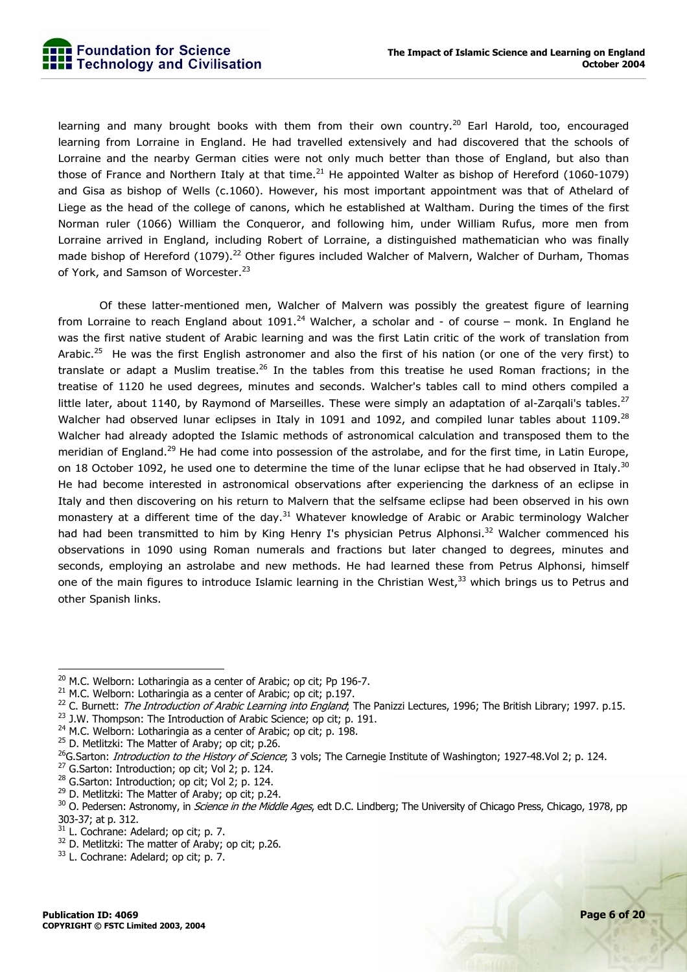learning and many brought books with them from their own country.<sup>20</sup> Earl Harold, too, encouraged learning from Lorraine in England. He had travelled extensively and had discovered that the schools of Lorraine and the nearby German cities were not only much better than those of England, but also than those of France and Northern Italy at that time.<sup>21</sup> He appointed Walter as bishop of Hereford (1060-1079) and Gisa as bishop of Wells (c.1060). However, his most important appointment was that of Athelard of Liege as the head of the college of canons, which he established at Waltham. During the times of the first Norman ruler (1066) William the Conqueror, and following him, under William Rufus, more men from Lorraine arrived in England, including Robert of Lorraine, a distinguished mathematician who was finally made bishop of Hereford (1079).<sup>22</sup> Other figures included Walcher of Malvern, Walcher of Durham, Thomas of York, and Samson of Worcester.<sup>23</sup>

 Of these latter-mentioned men, Walcher of Malvern was possibly the greatest figure of learning from Lorraine to reach England about 1091.<sup>24</sup> Walcher, a scholar and - of course – monk. In England he was the first native student of Arabic learning and was the first Latin critic of the work of translation from Arabic.<sup>25</sup> He was the first English astronomer and also the first of his nation (or one of the very first) to translate or adapt a Muslim treatise.<sup>26</sup> In the tables from this treatise he used Roman fractions; in the treatise of 1120 he used degrees, minutes and seconds. Walcher's tables call to mind others compiled a little later, about 1140, by Raymond of Marseilles. These were simply an adaptation of al-Zarqali's tables. $^{27}$ Walcher had observed lunar eclipses in Italy in 1091 and 1092, and compiled lunar tables about 1109.<sup>28</sup> Walcher had already adopted the Islamic methods of astronomical calculation and transposed them to the meridian of England.<sup>29</sup> He had come into possession of the astrolabe, and for the first time, in Latin Europe, on 18 October 1092, he used one to determine the time of the lunar eclipse that he had observed in Italy.<sup>30</sup> He had become interested in astronomical observations after experiencing the darkness of an eclipse in Italy and then discovering on his return to Malvern that the selfsame eclipse had been observed in his own monastery at a different time of the day.<sup>31</sup> Whatever knowledge of Arabic or Arabic terminology Walcher had had been transmitted to him by King Henry I's physician Petrus Alphonsi.<sup>32</sup> Walcher commenced his observations in 1090 using Roman numerals and fractions but later changed to degrees, minutes and seconds, employing an astrolabe and new methods. He had learned these from Petrus Alphonsi, himself one of the main figures to introduce Islamic learning in the Christian West,<sup>33</sup> which brings us to Petrus and other Spanish links.

<sup>20</sup> M.C. Welborn: Lotharingia as a center of Arabic; op cit; Pp 196-7.<br><sup>21</sup> M.C. Welborn: Lotharingia as a center of Arabic; op cit; p.197.<br><sup>22</sup> C. Burnett: *The Introduction of Arabic Learning into England*; The Panizzi

 $^{23}$  J.W. Thompson: The Introduction of Arabic Science; op cit; p. 191.

<sup>&</sup>lt;sup>24</sup> M.C. Welborn: Lotharingia as a center of Arabic; op cit; p. 198.

<sup>&</sup>lt;sup>25</sup> D. Metlitzki: The Matter of Araby; op cit; p.26.

<sup>&</sup>lt;sup>26</sup>G.Sarton: *Introduction to the History of Science*; 3 vols; The Carnegie Institute of Washington; 1927-48.Vol 2; p. 124.  $^{27}$  G.Sarton: Introduction; op cit; Vol 2; p. 124.

 $28$  G.Sarton: Introduction; op cit; Vol 2; p. 124.

<sup>&</sup>lt;sup>29</sup> D. Metlitzki: The Matter of Araby; op cit; p.24.

<sup>&</sup>lt;sup>30</sup> O. Pedersen: Astronomy, in *Science in the Middle Ages*, edt D.C. Lindberg; The University of Chicago Press, Chicago, 1978, pp 303-37; at p. 312.

<sup>&</sup>lt;sup>31</sup> L. Cochrane: Adelard; op cit; p. 7.

<sup>&</sup>lt;sup>32</sup> D. Metlitzki: The matter of Araby; op cit; p.26.

<sup>&</sup>lt;sup>33</sup> L. Cochrane: Adelard: op cit: p. 7.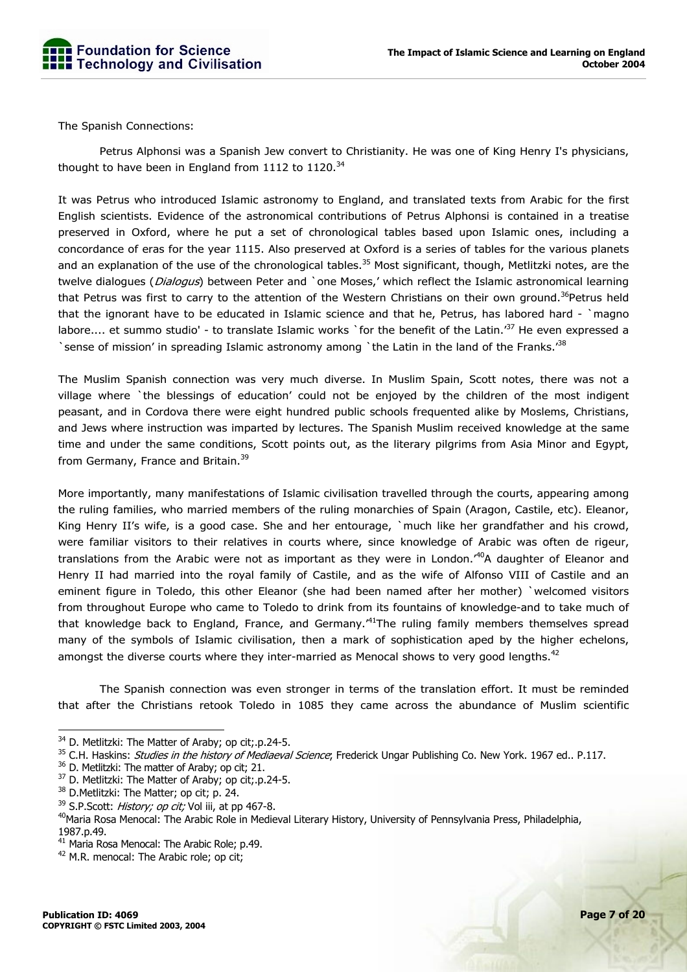

The Spanish Connections:

 Petrus Alphonsi was a Spanish Jew convert to Christianity. He was one of King Henry I's physicians, thought to have been in England from 1112 to  $1120.^{34}$ 

It was Petrus who introduced Islamic astronomy to England, and translated texts from Arabic for the first English scientists. Evidence of the astronomical contributions of Petrus Alphonsi is contained in a treatise preserved in Oxford, where he put a set of chronological tables based upon Islamic ones, including a concordance of eras for the year 1115. Also preserved at Oxford is a series of tables for the various planets and an explanation of the use of the chronological tables.<sup>35</sup> Most significant, though, Metlitzki notes, are the twelve dialogues (*Dialogus*) between Peter and `one Moses,' which reflect the Islamic astronomical learning that Petrus was first to carry to the attention of the Western Christians on their own ground.<sup>36</sup>Petrus held that the ignorant have to be educated in Islamic science and that he, Petrus, has labored hard - `magno labore.... et summo studio' - to translate Islamic works `for the benefit of the Latin.<sup>'37</sup> He even expressed a Sense of mission' in spreading Islamic astronomy among `the Latin in the land of the Franks.<sup>38</sup>

The Muslim Spanish connection was very much diverse. In Muslim Spain, Scott notes, there was not a village where `the blessings of education' could not be enjoyed by the children of the most indigent peasant, and in Cordova there were eight hundred public schools frequented alike by Moslems, Christians, and Jews where instruction was imparted by lectures. The Spanish Muslim received knowledge at the same time and under the same conditions, Scott points out, as the literary pilgrims from Asia Minor and Egypt, from Germany, France and Britain.<sup>39</sup>

More importantly, many manifestations of Islamic civilisation travelled through the courts, appearing among the ruling families, who married members of the ruling monarchies of Spain (Aragon, Castile, etc). Eleanor, King Henry II's wife, is a good case. She and her entourage, `much like her grandfather and his crowd, were familiar visitors to their relatives in courts where, since knowledge of Arabic was often de rigeur, translations from the Arabic were not as important as they were in London.<sup>40</sup>A daughter of Eleanor and Henry II had married into the royal family of Castile, and as the wife of Alfonso VIII of Castile and an eminent figure in Toledo, this other Eleanor (she had been named after her mother) `welcomed visitors from throughout Europe who came to Toledo to drink from its fountains of knowledge-and to take much of that knowledge back to England, France, and Germany.<sup>41</sup>The ruling family members themselves spread many of the symbols of Islamic civilisation, then a mark of sophistication aped by the higher echelons, amongst the diverse courts where they inter-married as Menocal shows to very good lengths. $42$ 

 The Spanish connection was even stronger in terms of the translation effort. It must be reminded that after the Christians retook Toledo in 1085 they came across the abundance of Muslim scientific

<sup>&</sup>lt;sup>34</sup> D. Metlitzki: The Matter of Araby; op cit; p.24-5.

<sup>&</sup>lt;sup>35</sup> C.H. Haskins: *Studies in the history of Mediaeval Science*; Frederick Ungar Publishing Co. New York. 1967 ed.. P.117.

<sup>&</sup>lt;sup>36</sup> D. Metlitzki: The matter of Araby; op cit; 21.

<sup>&</sup>lt;sup>37</sup> D. Metlitzki: The Matter of Araby; op cit;.p.24-5.

<sup>38</sup> D. Metlitzki: The Matter; op cit; p. 24.

 $39$  S.P.Scott: *History; op cit;* Vol iii, at pp 467-8.

<sup>&</sup>lt;sup>40</sup>Maria Rosa Menocal: The Arabic Role in Medieval Literary History, University of Pennsylvania Press, Philadelphia, 1987.p.49.

<sup>&</sup>lt;sup>41</sup> Maria Rosa Menocal: The Arabic Role; p.49.

<sup>&</sup>lt;sup>42</sup> M.R. menocal: The Arabic role; op cit;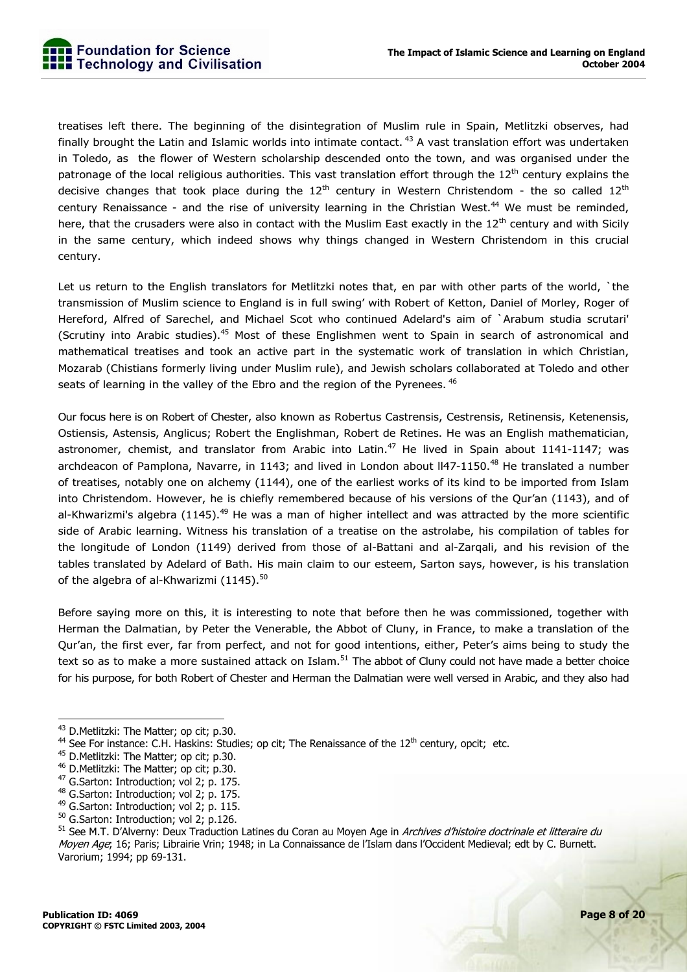treatises left there. The beginning of the disintegration of Muslim rule in Spain, Metlitzki observes, had finally brought the Latin and Islamic worlds into intimate contact.<sup>43</sup> A vast translation effort was undertaken in Toledo, as the flower of Western scholarship descended onto the town, and was organised under the patronage of the local religious authorities. This vast translation effort through the 12<sup>th</sup> century explains the decisive changes that took place during the  $12<sup>th</sup>$  century in Western Christendom - the so called  $12<sup>th</sup>$ century Renaissance - and the rise of university learning in the Christian West.<sup>44</sup> We must be reminded, here, that the crusaders were also in contact with the Muslim East exactly in the  $12<sup>th</sup>$  century and with Sicily in the same century, which indeed shows why things changed in Western Christendom in this crucial century.

Let us return to the English translators for Metlitzki notes that, en par with other parts of the world, `the transmission of Muslim science to England is in full swing' with Robert of Ketton, Daniel of Morley, Roger of Hereford, Alfred of Sarechel, and Michael Scot who continued Adelard's aim of `Arabum studia scrutari' (Scrutiny into Arabic studies).45 Most of these Englishmen went to Spain in search of astronomical and mathematical treatises and took an active part in the systematic work of translation in which Christian, Mozarab (Chistians formerly living under Muslim rule), and Jewish scholars collaborated at Toledo and other seats of learning in the valley of the Ebro and the region of the Pyrenees. <sup>46</sup>

Our focus here is on Robert of Chester, also known as Robertus Castrensis, Cestrensis, Retinensis, Ketenensis, Ostiensis, Astensis, Anglicus; Robert the Englishman, Robert de Retines. He was an English mathematician, astronomer, chemist, and translator from Arabic into Latin.<sup>47</sup> He lived in Spain about 1141-1147; was archdeacon of Pamplona, Navarre, in 1143; and lived in London about II47-1150.<sup>48</sup> He translated a number of treatises, notably one on alchemy (1144), one of the earliest works of its kind to be imported from Islam into Christendom. However, he is chiefly remembered because of his versions of the Qur'an (1143), and of al-Khwarizmi's algebra (1145).<sup>49</sup> He was a man of higher intellect and was attracted by the more scientific side of Arabic learning. Witness his translation of a treatise on the astrolabe, his compilation of tables for the longitude of London (1149) derived from those of al-Battani and al-Zarqali, and his revision of the tables translated by Adelard of Bath. His main claim to our esteem, Sarton says, however, is his translation of the algebra of al-Khwarizmi (1145).<sup>50</sup>

Before saying more on this, it is interesting to note that before then he was commissioned, together with Herman the Dalmatian, by Peter the Venerable, the Abbot of Cluny, in France, to make a translation of the Qur'an, the first ever, far from perfect, and not for good intentions, either, Peter's aims being to study the text so as to make a more sustained attack on Islam.<sup>51</sup> The abbot of Cluny could not have made a better choice for his purpose, for both Robert of Chester and Herman the Dalmatian were well versed in Arabic, and they also had

<sup>&</sup>lt;sup>43</sup> D.Metlitzki: The Matter; op cit; p.30.

<sup>&</sup>lt;sup>44</sup> See For instance: C.H. Haskins: Studies; op cit; The Renaissance of the  $12^{th}$  century, opcit; etc.  $45$  D.Metlitzki: The Matter; op cit; p.30.

<sup>&</sup>lt;sup>46</sup> D.Metlitzki: The Matter; op cit; p.30.

<sup>&</sup>lt;sup>47</sup> G.Sarton: Introduction; vol 2; p. 175.

<sup>&</sup>lt;sup>48</sup> G.Sarton: Introduction; vol 2; p. 175.

<sup>&</sup>lt;sup>49</sup> G.Sarton: Introduction; vol 2; p. 115.

<sup>50</sup> G.Sarton: Introduction; vol 2; p.126.

<sup>&</sup>lt;sup>51</sup> See M.T. D'Alverny: Deux Traduction Latines du Coran au Moyen Age in Archives d'histoire doctrinale et litteraire du Moyen Age; 16; Paris; Librairie Vrin; 1948; in La Connaissance de l'Islam dans l'Occident Medieval; edt by C. Burnett. Varorium; 1994; pp 69-131.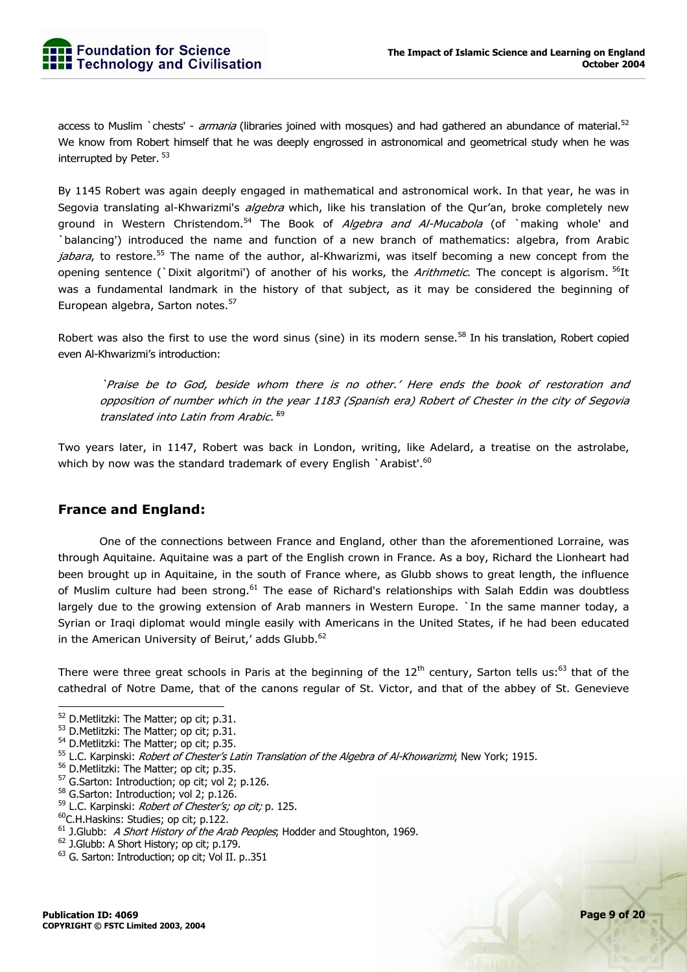access to Muslim `chests' - *armaria* (libraries joined with mosques) and had gathered an abundance of material.<sup>52</sup> We know from Robert himself that he was deeply engrossed in astronomical and geometrical study when he was interrupted by Peter. 53

By 1145 Robert was again deeply engaged in mathematical and astronomical work. In that year, he was in Segovia translating al-Khwarizmi's *algebra* which, like his translation of the Qur'an, broke completely new ground in Western Christendom.<sup>54</sup> The Book of *Algebra and Al-Mucabola* (of `making whole' and `balancing') introduced the name and function of a new branch of mathematics: algebra, from Arabic *jabara*, to restore.<sup>55</sup> The name of the author, al-Khwarizmi, was itself becoming a new concept from the opening sentence (`Dixit algoritmi') of another of his works, the *Arithmetic*. The concept is algorism. <sup>56</sup>It was a fundamental landmark in the history of that subject, as it may be considered the beginning of European algebra, Sarton notes.<sup>57</sup>

Robert was also the first to use the word sinus (sine) in its modern sense.<sup>58</sup> In his translation, Robert copied even Al-Khwarizmi's introduction:

`Praise be to God, beside whom there is no other.' Here ends the book of restoration and opposition of number which in the year 1183 (Spanish era) Robert of Chester in the city of Segovia translated into Latin from Arabic.<sup>59</sup>

Two years later, in 1147, Robert was back in London, writing, like Adelard, a treatise on the astrolabe, which by now was the standard trademark of every English `Arabist'.<sup>60</sup>

#### **France and England:**

 One of the connections between France and England, other than the aforementioned Lorraine, was through Aquitaine. Aquitaine was a part of the English crown in France. As a boy, Richard the Lionheart had been brought up in Aquitaine, in the south of France where, as Glubb shows to great length, the influence of Muslim culture had been strong.<sup>61</sup> The ease of Richard's relationships with Salah Eddin was doubtless largely due to the growing extension of Arab manners in Western Europe. `In the same manner today, a Syrian or Iraqi diplomat would mingle easily with Americans in the United States, if he had been educated in the American University of Beirut,' adds Glubb.<sup>62</sup>

There were three great schools in Paris at the beginning of the  $12<sup>th</sup>$  century, Sarton tells us:<sup>63</sup> that of the cathedral of Notre Dame, that of the canons regular of St. Victor, and that of the abbey of St. Genevieve

<sup>&</sup>lt;sup>52</sup> D.Metlitzki: The Matter; op cit; p.31.

<sup>53</sup> D.Metlitzki: The Matter; op cit; p.31.

<sup>&</sup>lt;sup>54</sup> D.Metlitzki: The Matter; op cit; p.35.

<sup>&</sup>lt;sup>55</sup> L.C. Karpinski: *Robert of Chester's Latin Translation of the Algebra of Al-Khowarizmi*; New York; 1915.

<sup>&</sup>lt;sup>56</sup> D.Metlitzki: The Matter; op cit; p.35.

<sup>&</sup>lt;sup>57</sup> G.Sarton: Introduction; op cit; vol 2; p.126.

<sup>&</sup>lt;sup>58</sup> G.Sarton: Introduction; vol 2; p.126.

<sup>&</sup>lt;sup>59</sup> L.C. Karpinski: *Robert of Chester's; op cit;* p. 125.

<sup>60</sup>C.H.Haskins: Studies; op cit; p.122.

 $61$  J.Glubb: A Short History of the Arab Peoples; Hodder and Stoughton, 1969.

<sup>&</sup>lt;sup>62</sup> J.Glubb: A Short History; op cit; p.179.

<sup>63</sup> G. Sarton: Introduction; op cit; Vol II. p..351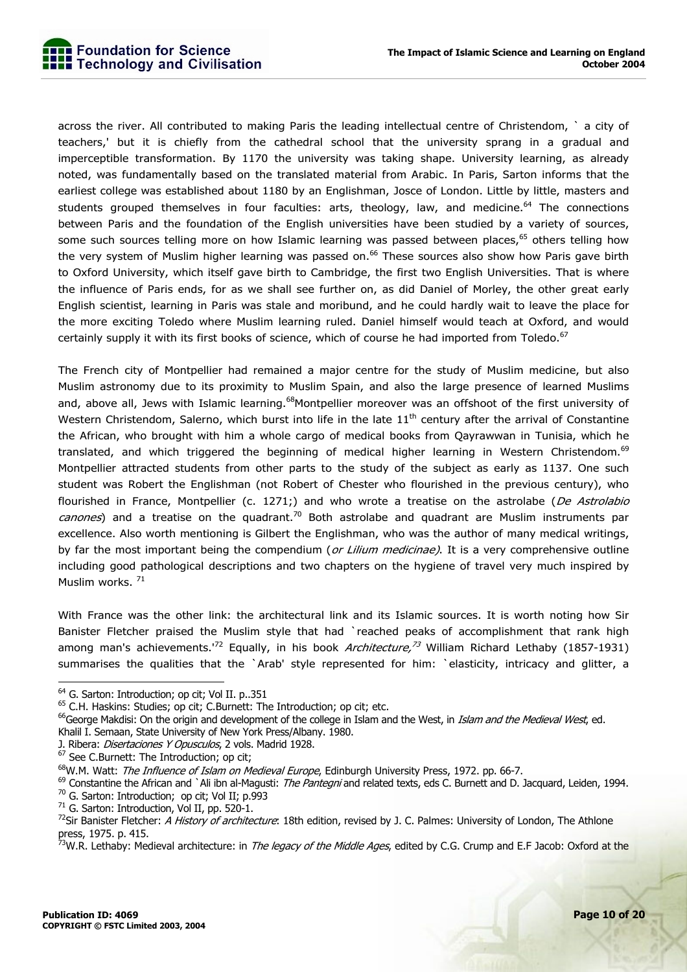across the river. All contributed to making Paris the leading intellectual centre of Christendom, ` a city of teachers,' but it is chiefly from the cathedral school that the university sprang in a gradual and imperceptible transformation. By 1170 the university was taking shape. University learning, as already noted, was fundamentally based on the translated material from Arabic. In Paris, Sarton informs that the earliest college was established about 1180 by an Englishman, Josce of London. Little by little, masters and students grouped themselves in four faculties: arts, theology, law, and medicine. $64$  The connections between Paris and the foundation of the English universities have been studied by a variety of sources, some such sources telling more on how Islamic learning was passed between places,<sup>65</sup> others telling how the very system of Muslim higher learning was passed on.<sup>66</sup> These sources also show how Paris gave birth to Oxford University, which itself gave birth to Cambridge, the first two English Universities. That is where the influence of Paris ends, for as we shall see further on, as did Daniel of Morley, the other great early English scientist, learning in Paris was stale and moribund, and he could hardly wait to leave the place for the more exciting Toledo where Muslim learning ruled. Daniel himself would teach at Oxford, and would certainly supply it with its first books of science, which of course he had imported from Toledo. $67$ 

The French city of Montpellier had remained a major centre for the study of Muslim medicine, but also Muslim astronomy due to its proximity to Muslim Spain, and also the large presence of learned Muslims and, above all, Jews with Islamic learning.<sup>68</sup>Montpellier moreover was an offshoot of the first university of Western Christendom, Salerno, which burst into life in the late  $11<sup>th</sup>$  century after the arrival of Constantine the African, who brought with him a whole cargo of medical books from Qayrawwan in Tunisia, which he translated, and which triggered the beginning of medical higher learning in Western Christendom.<sup>69</sup> Montpellier attracted students from other parts to the study of the subject as early as 1137. One such student was Robert the Englishman (not Robert of Chester who flourished in the previous century), who flourished in France, Montpellier (c. 1271;) and who wrote a treatise on the astrolabe (De Astrolabio *canones*) and a treatise on the quadrant.<sup>70</sup> Both astrolabe and quadrant are Muslim instruments par excellence. Also worth mentioning is Gilbert the Englishman, who was the author of many medical writings, by far the most important being the compendium (or Lilium medicinae). It is a very comprehensive outline including good pathological descriptions and two chapters on the hygiene of travel very much inspired by Muslim works.<sup>71</sup>

With France was the other link: the architectural link and its Islamic sources. It is worth noting how Sir Banister Fletcher praised the Muslim style that had `reached peaks of accomplishment that rank high among man's achievements.<sup>172</sup> Equally, in his book Architecture,<sup>73</sup> William Richard Lethaby (1857-1931) summarises the qualities that the `Arab' style represented for him: `elasticity, intricacy and glitter, a

<sup>&</sup>lt;sup>64</sup> G. Sarton: Introduction; op cit; Vol II. p..351

<sup>&</sup>lt;sup>65</sup> C.H. Haskins: Studies; op cit; C.Burnett: The Introduction; op cit; etc.

<sup>&</sup>lt;sup>66</sup>George Makdisi: On the origin and development of the college in Islam and the West, in *Islam and the Medieval West*, ed.

Khalil I. Semaan, State University of New York Press/Albany. 1980.

J. Ribera: Disertaciones Y Opusculos, 2 vols. Madrid 1928.

 $67$  See C.Burnett: The Introduction; op cit;

<sup>68</sup>W.M. Watt: The Influence of Islam on Medieval Europe, Edinburgh University Press, 1972. pp. 66-7.

 $^{69}$  Constantine the African and `Ali ibn al-Magusti: *The Pantegni* and related texts, eds C. Burnett and D. Jacquard, Leiden, 1994.

<sup>&</sup>lt;sup>70</sup> G. Sarton: Introduction; op cit; Vol II; p.993

 $71$  G. Sarton: Introduction, Vol II, pp. 520-1.

 $^{72}$ Sir Banister Fletcher: A History of architecture: 18th edition, revised by J. C. Palmes: University of London, The Athlone press, 1975. p. 415.

<sup>&</sup>lt;sup>73</sup>W.R. Lethaby: Medieval architecture: in *The legacy of the Middle Ages*, edited by C.G. Crump and E.F Jacob: Oxford at the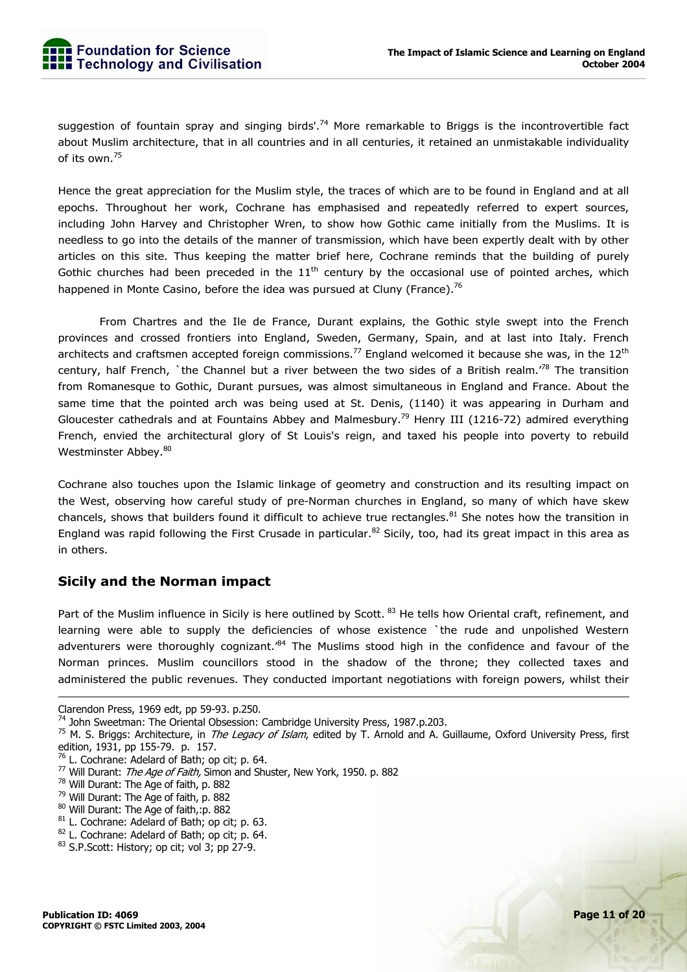suggestion of fountain spray and singing birds'.<sup>74</sup> More remarkable to Briggs is the incontrovertible fact about Muslim architecture, that in all countries and in all centuries, it retained an unmistakable individuality of its own.<sup>75</sup>

Hence the great appreciation for the Muslim style, the traces of which are to be found in England and at all epochs. Throughout her work, Cochrane has emphasised and repeatedly referred to expert sources, including John Harvey and Christopher Wren, to show how Gothic came initially from the Muslims. It is needless to go into the details of the manner of transmission, which have been expertly dealt with by other articles on this site. Thus keeping the matter brief here, Cochrane reminds that the building of purely Gothic churches had been preceded in the  $11<sup>th</sup>$  century by the occasional use of pointed arches, which happened in Monte Casino, before the idea was pursued at Cluny (France).<sup>76</sup>

 From Chartres and the Ile de France, Durant explains, the Gothic style swept into the French provinces and crossed frontiers into England, Sweden, Germany, Spain, and at last into Italy. French architects and craftsmen accepted foreign commissions.<sup>77</sup> England welcomed it because she was, in the  $12<sup>th</sup>$ century, half French, `the Channel but a river between the two sides of a British realm.<sup>78</sup> The transition from Romanesque to Gothic, Durant pursues, was almost simultaneous in England and France. About the same time that the pointed arch was being used at St. Denis, (1140) it was appearing in Durham and Gloucester cathedrals and at Fountains Abbey and Malmesbury.<sup>79</sup> Henry III (1216-72) admired everything French, envied the architectural glory of St Louis's reign, and taxed his people into poverty to rebuild Westminster Abbey.<sup>80</sup>

Cochrane also touches upon the Islamic linkage of geometry and construction and its resulting impact on the West, observing how careful study of pre-Norman churches in England, so many of which have skew chancels, shows that builders found it difficult to achieve true rectangles.<sup>81</sup> She notes how the transition in England was rapid following the First Crusade in particular.<sup>82</sup> Sicily, too, had its great impact in this area as in others.

#### **Sicily and the Norman impact**

Part of the Muslim influence in Sicily is here outlined by Scott. <sup>83</sup> He tells how Oriental craft, refinement, and learning were able to supply the deficiencies of whose existence `the rude and unpolished Western adventurers were thoroughly cognizant.<sup>84</sup> The Muslims stood high in the confidence and favour of the Norman princes. Muslim councillors stood in the shadow of the throne; they collected taxes and administered the public revenues. They conducted important negotiations with foreign powers, whilst their

-

80 Will Durant: The Age of faith,:p. 882

Clarendon Press, 1969 edt, pp 59-93. p.250.<br><sup>74</sup> John Sweetman: The Oriental Obsession: Cambridge University Press, 1987.p.203.

<sup>&</sup>lt;sup>75</sup> M. S. Briggs: Architecture, in *The Legacy of Islam*, edited by T. Arnold and A. Guillaume, Oxford University Press, first edition, 1931, pp 155-79. p. 157.

 $76$  L. Cochrane: Adelard of Bath; op cit; p. 64.

<sup>&</sup>lt;sup>77</sup> Will Durant: *The Age of Faith,* Simon and Shuster, New York, 1950. p. 882

<sup>78</sup> Will Durant: The Age of faith, p. 882

<sup>79</sup> Will Durant: The Age of faith, p. 882

<sup>81</sup> L. Cochrane: Adelard of Bath; op cit; p. 63.

<sup>82</sup> L. Cochrane: Adelard of Bath; op cit; p. 64.

<sup>83</sup> S.P.Scott: History; op cit; vol 3; pp 27-9.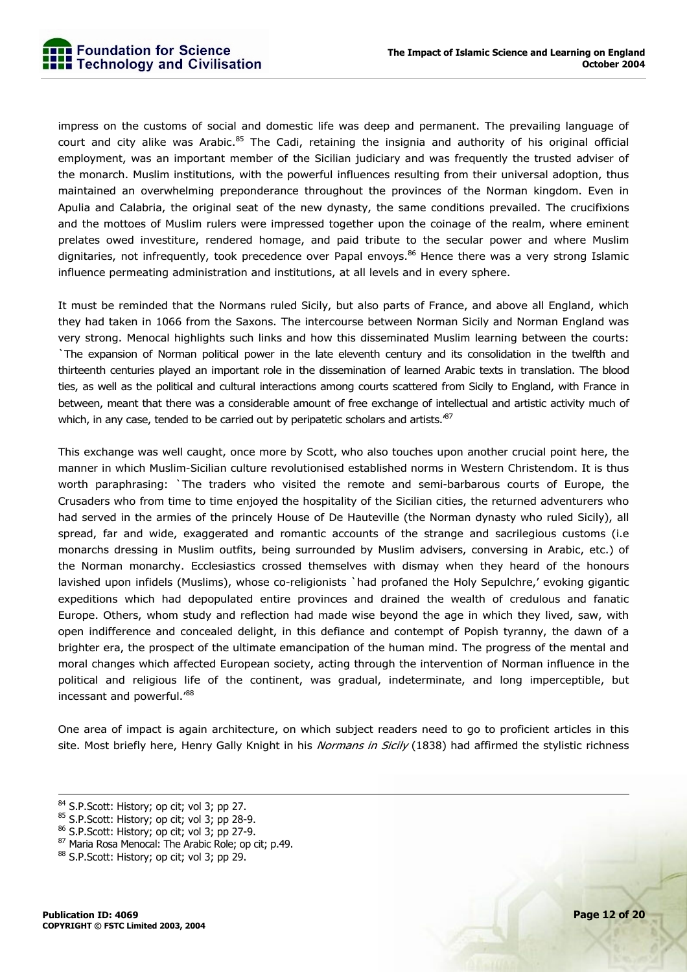impress on the customs of social and domestic life was deep and permanent. The prevailing language of court and city alike was Arabic.<sup>85</sup> The Cadi, retaining the insignia and authority of his original official employment, was an important member of the Sicilian judiciary and was frequently the trusted adviser of the monarch. Muslim institutions, with the powerful influences resulting from their universal adoption, thus maintained an overwhelming preponderance throughout the provinces of the Norman kingdom. Even in Apulia and Calabria, the original seat of the new dynasty, the same conditions prevailed. The crucifixions and the mottoes of Muslim rulers were impressed together upon the coinage of the realm, where eminent prelates owed investiture, rendered homage, and paid tribute to the secular power and where Muslim dignitaries, not infrequently, took precedence over Papal envoys.<sup>86</sup> Hence there was a very strong Islamic influence permeating administration and institutions, at all levels and in every sphere.

It must be reminded that the Normans ruled Sicily, but also parts of France, and above all England, which they had taken in 1066 from the Saxons. The intercourse between Norman Sicily and Norman England was very strong. Menocal highlights such links and how this disseminated Muslim learning between the courts: `The expansion of Norman political power in the late eleventh century and its consolidation in the twelfth and thirteenth centuries played an important role in the dissemination of learned Arabic texts in translation. The blood ties, as well as the political and cultural interactions among courts scattered from Sicily to England, with France in between, meant that there was a considerable amount of free exchange of intellectual and artistic activity much of which, in any case, tended to be carried out by peripatetic scholars and artists. $^{87}$ 

This exchange was well caught, once more by Scott, who also touches upon another crucial point here, the manner in which Muslim-Sicilian culture revolutionised established norms in Western Christendom. It is thus worth paraphrasing: `The traders who visited the remote and semi-barbarous courts of Europe, the Crusaders who from time to time enjoyed the hospitality of the Sicilian cities, the returned adventurers who had served in the armies of the princely House of De Hauteville (the Norman dynasty who ruled Sicily), all spread, far and wide, exaggerated and romantic accounts of the strange and sacrilegious customs (i.e monarchs dressing in Muslim outfits, being surrounded by Muslim advisers, conversing in Arabic, etc.) of the Norman monarchy. Ecclesiastics crossed themselves with dismay when they heard of the honours lavished upon infidels (Muslims), whose co-religionists `had profaned the Holy Sepulchre,' evoking gigantic expeditions which had depopulated entire provinces and drained the wealth of credulous and fanatic Europe. Others, whom study and reflection had made wise beyond the age in which they lived, saw, with open indifference and concealed delight, in this defiance and contempt of Popish tyranny, the dawn of a brighter era, the prospect of the ultimate emancipation of the human mind. The progress of the mental and moral changes which affected European society, acting through the intervention of Norman influence in the political and religious life of the continent, was gradual, indeterminate, and long imperceptible, but incessant and powerful.'<sup>88</sup>

One area of impact is again architecture, on which subject readers need to go to proficient articles in this site. Most briefly here, Henry Gally Knight in his Normans in Sicily (1838) had affirmed the stylistic richness

<sup>84</sup> S.P.Scott: History; op cit; vol 3; pp 27.

<sup>85</sup> S.P.Scott: History; op cit; vol 3; pp 28-9.

<sup>86</sup> S.P.Scott: History; op cit; vol 3; pp 27-9.

<sup>87</sup> Maria Rosa Menocal: The Arabic Role; op cit; p.49.

<sup>88</sup> S.P.Scott: History; op cit; vol 3; pp 29.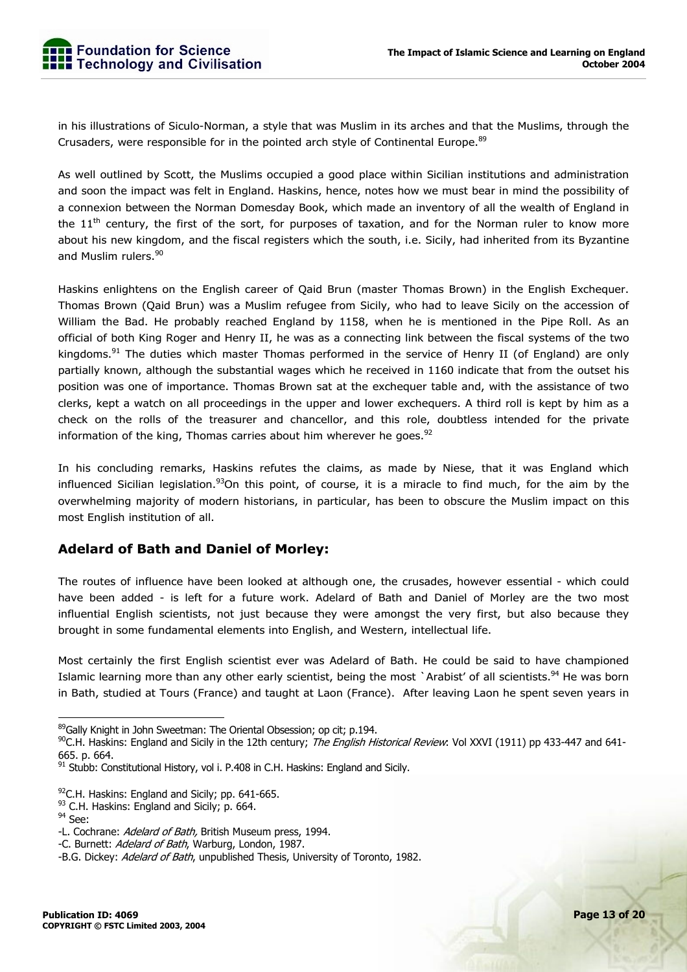in his illustrations of Siculo-Norman, a style that was Muslim in its arches and that the Muslims, through the Crusaders, were responsible for in the pointed arch style of Continental Europe.<sup>89</sup>

As well outlined by Scott, the Muslims occupied a good place within Sicilian institutions and administration and soon the impact was felt in England. Haskins, hence, notes how we must bear in mind the possibility of a connexion between the Norman Domesday Book, which made an inventory of all the wealth of England in the  $11<sup>th</sup>$  century, the first of the sort, for purposes of taxation, and for the Norman ruler to know more about his new kingdom, and the fiscal registers which the south, i.e. Sicily, had inherited from its Byzantine and Muslim rulers.<sup>90</sup>

Haskins enlightens on the English career of Qaid Brun (master Thomas Brown) in the English Exchequer. Thomas Brown (Qaid Brun) was a Muslim refugee from Sicily, who had to leave Sicily on the accession of William the Bad. He probably reached England by 1158, when he is mentioned in the Pipe Roll. As an official of both King Roger and Henry II, he was as a connecting link between the fiscal systems of the two kingdoms.<sup>91</sup> The duties which master Thomas performed in the service of Henry II (of England) are only partially known, although the substantial wages which he received in 1160 indicate that from the outset his position was one of importance. Thomas Brown sat at the exchequer table and, with the assistance of two clerks, kept a watch on all proceedings in the upper and lower exchequers. A third roll is kept by him as a check on the rolls of the treasurer and chancellor, and this role, doubtless intended for the private information of the king, Thomas carries about him wherever he goes. $92$ 

In his concluding remarks, Haskins refutes the claims, as made by Niese, that it was England which influenced Sicilian legislation.<sup>93</sup>On this point, of course, it is a miracle to find much, for the aim by the overwhelming majority of modern historians, in particular, has been to obscure the Muslim impact on this most English institution of all.

#### **Adelard of Bath and Daniel of Morley:**

The routes of influence have been looked at although one, the crusades, however essential - which could have been added - is left for a future work. Adelard of Bath and Daniel of Morley are the two most influential English scientists, not just because they were amongst the very first, but also because they brought in some fundamental elements into English, and Western, intellectual life.

Most certainly the first English scientist ever was Adelard of Bath. He could be said to have championed Islamic learning more than any other early scientist, being the most `Arabist' of all scientists.<sup>94</sup> He was born in Bath, studied at Tours (France) and taught at Laon (France). After leaving Laon he spent seven years in

 89Gally Knight in John Sweetman: The Oriental Obsession: op cit: p.194.

 $^{90}$ C.H. Haskins: England and Sicily in the 12th century; *The English Historical Review*: Vol XXVI (1911) pp 433-447 and 641-665. p. 664.

 $91$  Stubb: Constitutional History, vol i. P.408 in C.H. Haskins: England and Sicily.

 $92$ C.H. Haskins: England and Sicily; pp. 641-665.

<sup>93</sup> C.H. Haskins: England and Sicily; p. 664.

<sup>&</sup>lt;sup>94</sup> See:

<sup>-</sup>L. Cochrane: Adelard of Bath, British Museum press, 1994.

<sup>-</sup>C. Burnett: Adelard of Bath, Warburg, London, 1987.

<sup>-</sup>B.G. Dickey: Adelard of Bath, unpublished Thesis, University of Toronto, 1982.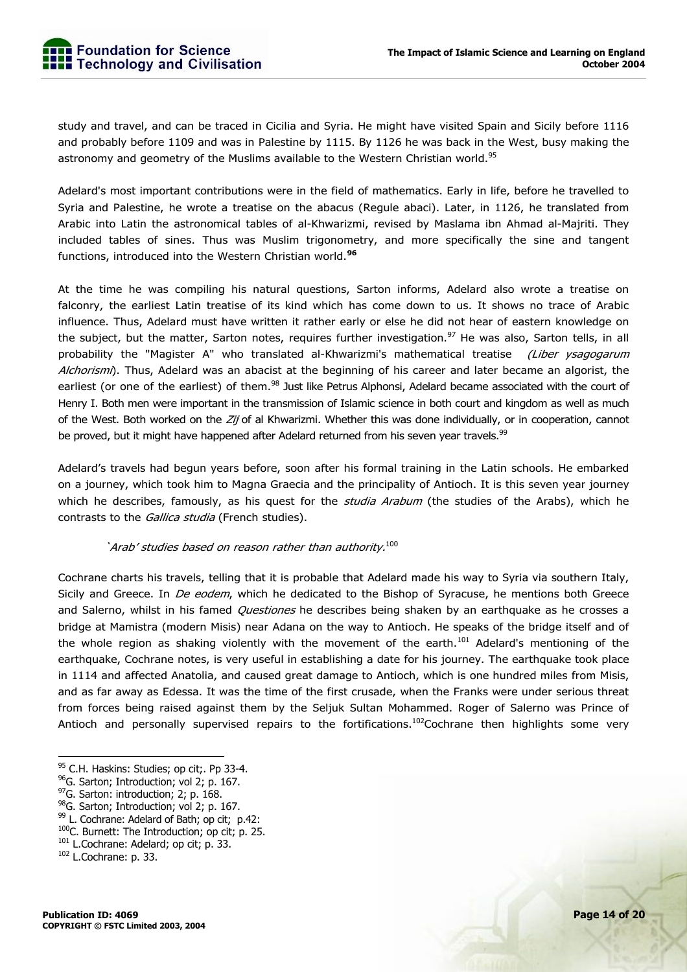study and travel, and can be traced in Cicilia and Syria. He might have visited Spain and Sicily before 1116 and probably before 1109 and was in Palestine by 1115. By 1126 he was back in the West, busy making the astronomy and geometry of the Muslims available to the Western Christian world.<sup>95</sup>

Adelard's most important contributions were in the field of mathematics. Early in life, before he travelled to Syria and Palestine, he wrote a treatise on the abacus (Regule abaci). Later, in 1126, he translated from Arabic into Latin the astronomical tables of al-Khwarizmi, revised by Maslama ibn Ahmad al-Majriti. They included tables of sines. Thus was Muslim trigonometry, and more specifically the sine and tangent functions, introduced into the Western Christian world.**<sup>96</sup>**

At the time he was compiling his natural questions, Sarton informs, Adelard also wrote a treatise on falconry, the earliest Latin treatise of its kind which has come down to us. It shows no trace of Arabic influence. Thus, Adelard must have written it rather early or else he did not hear of eastern knowledge on the subject, but the matter, Sarton notes, requires further investigation.<sup>97</sup> He was also, Sarton tells, in all probability the "Magister A" who translated al-Khwarizmi's mathematical treatise (Liber ysagogarum Alchorismi). Thus, Adelard was an abacist at the beginning of his career and later became an algorist, the earliest (or one of the earliest) of them.<sup>98</sup> Just like Petrus Alphonsi, Adelard became associated with the court of Henry I. Both men were important in the transmission of Islamic science in both court and kingdom as well as much of the West. Both worked on the Zij of al Khwarizmi. Whether this was done individually, or in cooperation, cannot be proved, but it might have happened after Adelard returned from his seven year travels.<sup>99</sup>

Adelard's travels had begun years before, soon after his formal training in the Latin schools. He embarked on a journey, which took him to Magna Graecia and the principality of Antioch. It is this seven year journey which he describes, famously, as his quest for the *studia Arabum* (the studies of the Arabs), which he contrasts to the Gallica studia (French studies).

#### 'Arab' studies based on reason rather than authority. $100$

Cochrane charts his travels, telling that it is probable that Adelard made his way to Syria via southern Italy, Sicily and Greece. In *De eodem*, which he dedicated to the Bishop of Syracuse, he mentions both Greece and Salerno, whilst in his famed *Questiones* he describes being shaken by an earthquake as he crosses a bridge at Mamistra (modern Misis) near Adana on the way to Antioch. He speaks of the bridge itself and of the whole region as shaking violently with the movement of the earth.<sup>101</sup> Adelard's mentioning of the earthquake, Cochrane notes, is very useful in establishing a date for his journey. The earthquake took place in 1114 and affected Anatolia, and caused great damage to Antioch, which is one hundred miles from Misis, and as far away as Edessa. It was the time of the first crusade, when the Franks were under serious threat from forces being raised against them by the Seljuk Sultan Mohammed. Roger of Salerno was Prince of Antioch and personally supervised repairs to the fortifications.<sup>102</sup>Cochrane then highlights some very

<sup>95</sup> C.H. Haskins: Studies; op cit;. Pp 33-4.

<sup>&</sup>lt;sup>96</sup>G. Sarton; Introduction; vol 2; p. 167.

<sup>&</sup>lt;sup>97</sup>G. Sarton: introduction; 2; p. 168.

<sup>98&</sup>lt;sub>G</sub>. Sarton; Introduction; vol 2; p. 167.

<sup>99</sup> L. Cochrane: Adelard of Bath; op cit; p.42:

<sup>100</sup>C. Burnett: The Introduction; op cit; p. 25.

<sup>&</sup>lt;sup>101</sup> L.Cochrane: Adelard; op cit; p. 33.

<sup>102</sup> L.Cochrane: p. 33.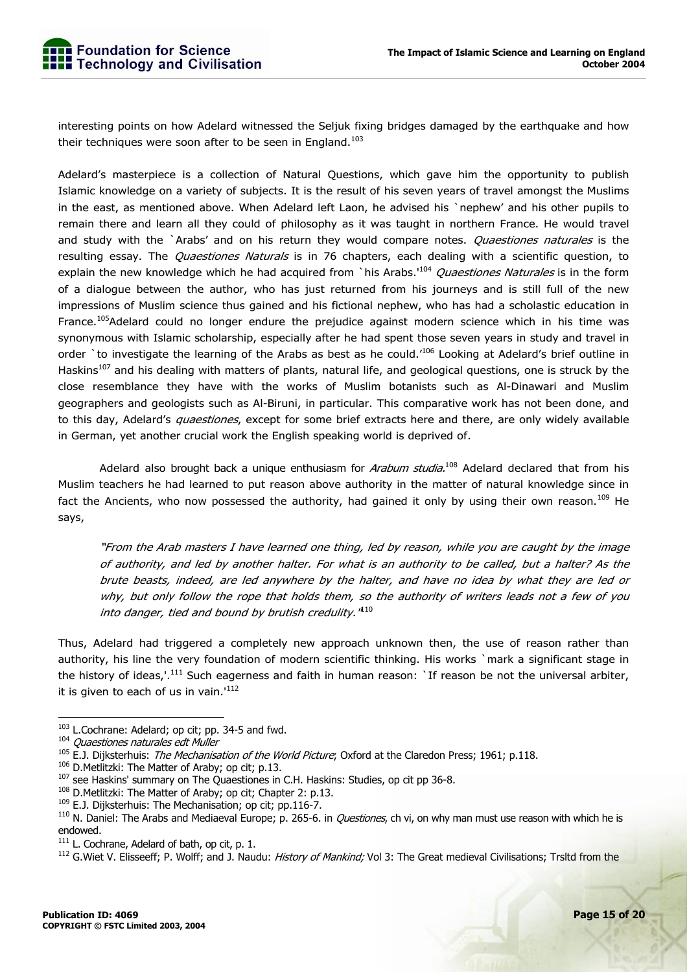interesting points on how Adelard witnessed the Seljuk fixing bridges damaged by the earthquake and how their techniques were soon after to be seen in England. $103$ 

Adelard's masterpiece is a collection of Natural Questions, which gave him the opportunity to publish Islamic knowledge on a variety of subjects. It is the result of his seven years of travel amongst the Muslims in the east, as mentioned above. When Adelard left Laon, he advised his `nephew' and his other pupils to remain there and learn all they could of philosophy as it was taught in northern France. He would travel and study with the `Arabs' and on his return they would compare notes. Quaestiones naturales is the resulting essay. The *Quaestiones Naturals* is in 76 chapters, each dealing with a scientific question, to explain the new knowledge which he had acquired from `his Arabs.<sup>104</sup> Quaestiones Naturales is in the form of a dialogue between the author, who has just returned from his journeys and is still full of the new impressions of Muslim science thus gained and his fictional nephew, who has had a scholastic education in France.<sup>105</sup>Adelard could no longer endure the prejudice against modern science which in his time was synonymous with Islamic scholarship, especially after he had spent those seven years in study and travel in order `to investigate the learning of the Arabs as best as he could.'106 Looking at Adelard's brief outline in Haskins<sup>107</sup> and his dealing with matters of plants, natural life, and geological questions, one is struck by the close resemblance they have with the works of Muslim botanists such as Al-Dinawari and Muslim geographers and geologists such as Al-Biruni, in particular. This comparative work has not been done, and to this day, Adelard's *quaestiones*, except for some brief extracts here and there, are only widely available in German, yet another crucial work the English speaking world is deprived of.

Adelard also brought back a unique enthusiasm for Arabum studia.<sup>108</sup> Adelard declared that from his Muslim teachers he had learned to put reason above authority in the matter of natural knowledge since in fact the Ancients, who now possessed the authority, had gained it only by using their own reason.<sup>109</sup> He says,

"From the Arab masters I have learned one thing, led by reason, while you are caught by the image of authority, and led by another halter. For what is an authority to be called, but a halter? As the brute beasts, indeed, are led anywhere by the halter, and have no idea by what they are led or why, but only follow the rope that holds them, so the authority of writers leads not a few of you into danger, tied and bound by brutish credulity. $110$ 

Thus, Adelard had triggered a completely new approach unknown then, the use of reason rather than authority, his line the very foundation of modern scientific thinking. His works `mark a significant stage in the history of ideas,'.<sup>111</sup> Such eagerness and faith in human reason: `If reason be not the universal arbiter, it is given to each of us in vain. $112$ 

<sup>&</sup>lt;sup>103</sup> L.Cochrane: Adelard; op cit; pp. 34-5 and fwd.

<sup>&</sup>lt;sup>104</sup> Ouaestiones naturales edt Muller

 $105$  E.J. Dijksterhuis: The Mechanisation of the World Picture; Oxford at the Claredon Press; 1961; p.118.

<sup>&</sup>lt;sup>106</sup> D.Metlitzki: The Matter of Araby; op cit; p.13.

<sup>&</sup>lt;sup>107</sup> see Haskins' summary on The Quaestiones in C.H. Haskins: Studies, op cit pp 36-8.

<sup>&</sup>lt;sup>108</sup> D.Metlitzki: The Matter of Araby; op cit; Chapter 2: p.13.

<sup>&</sup>lt;sup>109</sup> E.J. Diiksterhuis: The Mechanisation; op cit; pp.116-7.

 $110$  N. Daniel: The Arabs and Mediaeval Europe; p. 265-6. in *Questiones*, ch vi, on why man must use reason with which he is endowed.

<sup>&</sup>lt;sup>111</sup> L. Cochrane, Adelard of bath, op cit, p. 1.<br><sup>112</sup> G.Wiet V. Elisseeff; P. Wolff; and J. Naudu: *History of Mankind;* Vol 3: The Great medieval Civilisations; Trsltd from the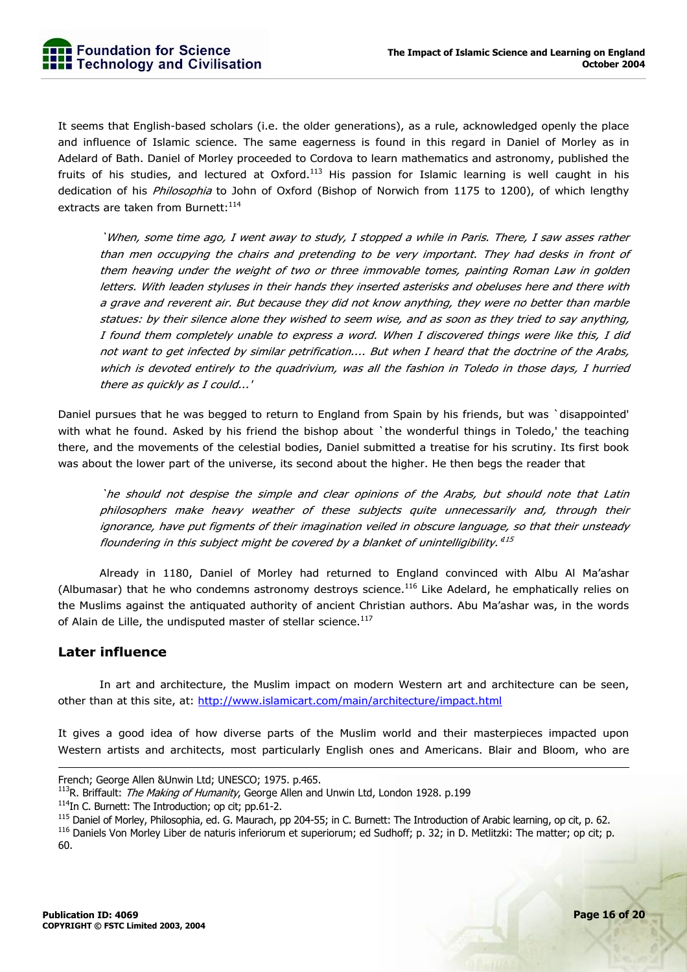It seems that English-based scholars (i.e. the older generations), as a rule, acknowledged openly the place and influence of Islamic science. The same eagerness is found in this regard in Daniel of Morley as in Adelard of Bath. Daniel of Morley proceeded to Cordova to learn mathematics and astronomy, published the fruits of his studies, and lectured at Oxford.<sup>113</sup> His passion for Islamic learning is well caught in his dedication of his *Philosophia* to John of Oxford (Bishop of Norwich from 1175 to 1200), of which lengthy extracts are taken from Burnett: 114

`When, some time ago, I went away to study, I stopped a while in Paris. There, I saw asses rather than men occupying the chairs and pretending to be very important. They had desks in front of them heaving under the weight of two or three immovable tomes, painting Roman Law in golden letters. With leaden styluses in their hands they inserted asterisks and obeluses here and there with a grave and reverent air. But because they did not know anything, they were no better than marble statues: by their silence alone they wished to seem wise, and as soon as they tried to say anything, I found them completely unable to express a word. When I discovered things were like this, I did not want to get infected by similar petrification.... But when I heard that the doctrine of the Arabs, which is devoted entirely to the quadrivium, was all the fashion in Toledo in those days, I hurried there as quickly as I could...'

Daniel pursues that he was begged to return to England from Spain by his friends, but was `disappointed' with what he found. Asked by his friend the bishop about `the wonderful things in Toledo,' the teaching there, and the movements of the celestial bodies, Daniel submitted a treatise for his scrutiny. Its first book was about the lower part of the universe, its second about the higher. He then begs the reader that

`he should not despise the simple and clear opinions of the Arabs, but should note that Latin philosophers make heavy weather of these subjects quite unnecessarily and, through their ignorance, have put figments of their imagination veiled in obscure language, so that their unsteady floundering in this subject might be covered by a blanket of unintelligibility.<sup>415</sup>

 Already in 1180, Daniel of Morley had returned to England convinced with Albu Al Ma'ashar (Albumasar) that he who condemns astronomy destroys science.<sup>116</sup> Like Adelard, he emphatically relies on the Muslims against the antiquated authority of ancient Christian authors. Abu Ma'ashar was, in the words of Alain de Lille, the undisputed master of stellar science.<sup>117</sup>

#### **Later influence**

-

 In art and architecture, the Muslim impact on modern Western art and architecture can be seen, other than at this site, at: http://www.islamicart.com/main/architecture/impact.html

It gives a good idea of how diverse parts of the Muslim world and their masterpieces impacted upon Western artists and architects, most particularly English ones and Americans. Blair and Bloom, who are

<sup>116</sup> Daniels Von Morley Liber de naturis inferiorum et superiorum; ed Sudhoff; p. 32; in D. Metlitzki: The matter; op cit; p. 60.

French; George Allen & Unwin Ltd; UNESCO; 1975. p.465.<br><sup>113</sup>R. Briffault: *The Making of Humanity*, George Allen and Unwin Ltd, London 1928. p.199

<sup>&</sup>lt;sup>114</sup>In C. Burnett: The Introduction; op cit; pp.61-2.<br><sup>115</sup> Daniel of Morley, Philosophia, ed. G. Maurach, pp 204-55; in C. Burnett: The Introduction of Arabic learning, op cit, p. 62.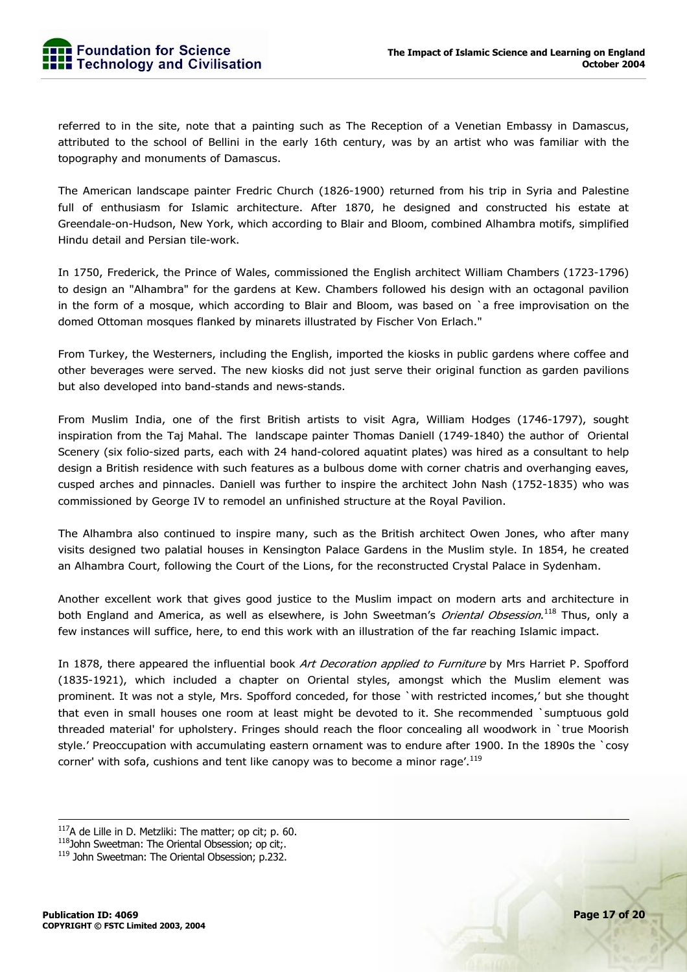referred to in the site, note that a painting such as The Reception of a Venetian Embassy in Damascus, attributed to the school of Bellini in the early 16th century, was by an artist who was familiar with the topography and monuments of Damascus.

The American landscape painter Fredric Church (1826-1900) returned from his trip in Syria and Palestine full of enthusiasm for Islamic architecture. After 1870, he designed and constructed his estate at Greendale-on-Hudson, New York, which according to Blair and Bloom, combined Alhambra motifs, simplified Hindu detail and Persian tile-work.

In 1750, Frederick, the Prince of Wales, commissioned the English architect William Chambers (1723-1796) to design an "Alhambra" for the gardens at Kew. Chambers followed his design with an octagonal pavilion in the form of a mosque, which according to Blair and Bloom, was based on `a free improvisation on the domed Ottoman mosques flanked by minarets illustrated by Fischer Von Erlach."

From Turkey, the Westerners, including the English, imported the kiosks in public gardens where coffee and other beverages were served. The new kiosks did not just serve their original function as garden pavilions but also developed into band-stands and news-stands.

From Muslim India, one of the first British artists to visit Agra, William Hodges (1746-1797), sought inspiration from the Taj Mahal. The landscape painter Thomas Daniell (1749-1840) the author of Oriental Scenery (six folio-sized parts, each with 24 hand-colored aquatint plates) was hired as a consultant to help design a British residence with such features as a bulbous dome with corner chatris and overhanging eaves, cusped arches and pinnacles. Daniell was further to inspire the architect John Nash (1752-1835) who was commissioned by George IV to remodel an unfinished structure at the Royal Pavilion.

The Alhambra also continued to inspire many, such as the British architect Owen Jones, who after many visits designed two palatial houses in Kensington Palace Gardens in the Muslim style. In 1854, he created an Alhambra Court, following the Court of the Lions, for the reconstructed Crystal Palace in Sydenham.

Another excellent work that gives good justice to the Muslim impact on modern arts and architecture in both England and America, as well as elsewhere, is John Sweetman's *Oriental Obsession*.<sup>118</sup> Thus, only a few instances will suffice, here, to end this work with an illustration of the far reaching Islamic impact.

In 1878, there appeared the influential book Art Decoration applied to Furniture by Mrs Harriet P. Spofford (1835-1921), which included a chapter on Oriental styles, amongst which the Muslim element was prominent. It was not a style, Mrs. Spofford conceded, for those `with restricted incomes,' but she thought that even in small houses one room at least might be devoted to it. She recommended `sumptuous gold threaded material' for upholstery. Fringes should reach the floor concealing all woodwork in `true Moorish style.' Preoccupation with accumulating eastern ornament was to endure after 1900. In the 1890s the `cosy corner' with sofa, cushions and tent like canopy was to become a minor rage'.<sup>119</sup>

 $117A$  de Lille in D. Metzliki: The matter; op cit; p. 60.

<sup>118</sup>John Sweetman: The Oriental Obsession; op cit;.

<sup>119</sup> John Sweetman: The Oriental Obsession; p.232.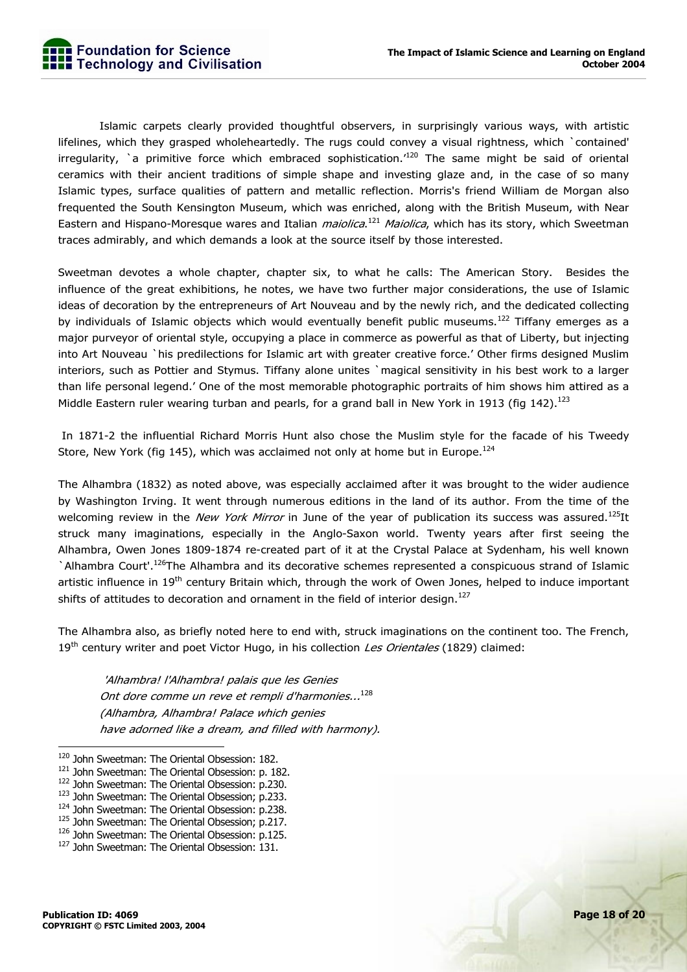Islamic carpets clearly provided thoughtful observers, in surprisingly various ways, with artistic lifelines, which they grasped wholeheartedly. The rugs could convey a visual rightness, which `contained' irregularity, `a primitive force which embraced sophistication.<sup>'120</sup> The same might be said of oriental ceramics with their ancient traditions of simple shape and investing glaze and, in the case of so many Islamic types, surface qualities of pattern and metallic reflection. Morris's friend William de Morgan also frequented the South Kensington Museum, which was enriched, along with the British Museum, with Near Eastern and Hispano-Moresque wares and Italian *maiolica*.<sup>121</sup> Maiolica, which has its story, which Sweetman traces admirably, and which demands a look at the source itself by those interested.

Sweetman devotes a whole chapter, chapter six, to what he calls: The American Story. Besides the influence of the great exhibitions, he notes, we have two further major considerations, the use of Islamic ideas of decoration by the entrepreneurs of Art Nouveau and by the newly rich, and the dedicated collecting by individuals of Islamic objects which would eventually benefit public museums.<sup>122</sup> Tiffany emerges as a major purveyor of oriental style, occupying a place in commerce as powerful as that of Liberty, but injecting into Art Nouveau `his predilections for Islamic art with greater creative force.' Other firms designed Muslim interiors, such as Pottier and Stymus. Tiffany alone unites `magical sensitivity in his best work to a larger than life personal legend.' One of the most memorable photographic portraits of him shows him attired as a Middle Eastern ruler wearing turban and pearls, for a grand ball in New York in 1913 (fig 142).<sup>123</sup>

 In 1871-2 the influential Richard Morris Hunt also chose the Muslim style for the facade of his Tweedy Store, New York (fig 145), which was acclaimed not only at home but in Europe.<sup>124</sup>

The Alhambra (1832) as noted above, was especially acclaimed after it was brought to the wider audience by Washington Irving. It went through numerous editions in the land of its author. From the time of the welcoming review in the New York Mirror in June of the year of publication its success was assured.<sup>125</sup>It struck many imaginations, especially in the Anglo-Saxon world. Twenty years after first seeing the Alhambra, Owen Jones 1809-1874 re-created part of it at the Crystal Palace at Sydenham, his well known `Alhambra Court'.<sup>126</sup>The Alhambra and its decorative schemes represented a conspicuous strand of Islamic artistic influence in 19<sup>th</sup> century Britain which, through the work of Owen Jones, helped to induce important shifts of attitudes to decoration and ornament in the field of interior design.<sup>127</sup>

The Alhambra also, as briefly noted here to end with, struck imaginations on the continent too. The French, 19<sup>th</sup> century writer and poet Victor Hugo, in his collection Les Orientales (1829) claimed:

 'Alhambra! l'Alhambra! palais que les Genies Ont dore comme un reve et rempli d'harmonies...<sup>128</sup> (Alhambra, Alhambra! Palace which genies have adorned like a dream, and filled with harmony).

<sup>&</sup>lt;sup>120</sup> John Sweetman: The Oriental Obsession: 182.

<sup>&</sup>lt;sup>121</sup> John Sweetman: The Oriental Obsession: p. 182.<br><sup>122</sup> John Sweetman: The Oriental Obsession: p.230.<br><sup>123</sup> John Sweetman: The Oriental Obsession; p.233.

<sup>&</sup>lt;sup>124</sup> John Sweetman: The Oriental Obsession: p.238.

 $^{125}$  John Sweetman: The Oriental Obsession; p.217.<br> $^{126}$  John Sweetman: The Oriental Obsession: p.125.

<sup>&</sup>lt;sup>127</sup> John Sweetman: The Oriental Obsession: 131.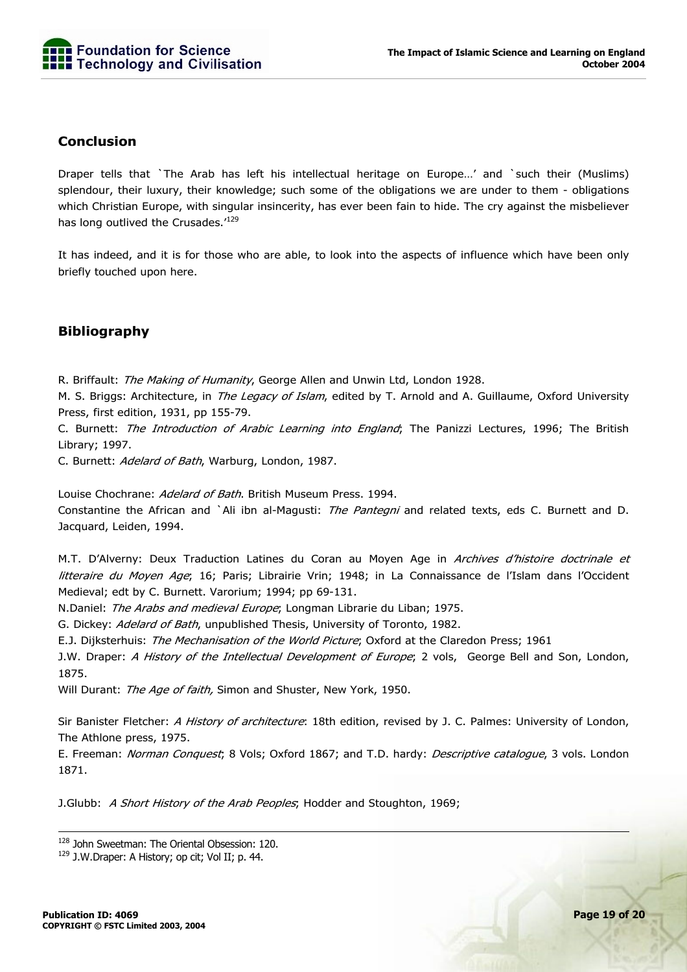

#### **Conclusion**

Draper tells that `The Arab has left his intellectual heritage on Europe…' and `such their (Muslims) splendour, their luxury, their knowledge; such some of the obligations we are under to them - obligations which Christian Europe, with singular insincerity, has ever been fain to hide. The cry against the misbeliever has long outlived the Crusades.<sup>'129</sup>

It has indeed, and it is for those who are able, to look into the aspects of influence which have been only briefly touched upon here.

#### **Bibliography**

R. Briffault: The Making of Humanity, George Allen and Unwin Ltd, London 1928.

M. S. Briggs: Architecture, in *The Legacy of Islam*, edited by T. Arnold and A. Guillaume, Oxford University Press, first edition, 1931, pp 155-79.

C. Burnett: The Introduction of Arabic Learning into England; The Panizzi Lectures, 1996; The British Library; 1997.

C. Burnett: Adelard of Bath, Warburg, London, 1987.

Louise Chochrane: Adelard of Bath. British Museum Press. 1994. Constantine the African and `Ali ibn al-Magusti: The Pantegni and related texts, eds C. Burnett and D. Jacquard, Leiden, 1994.

M.T. D'Alverny: Deux Traduction Latines du Coran au Moyen Age in Archives d'histoire doctrinale et litteraire du Moyen Age; 16; Paris; Librairie Vrin; 1948; in La Connaissance de l'Islam dans l'Occident Medieval; edt by C. Burnett. Varorium; 1994; pp 69-131.

N.Daniel: The Arabs and medieval Europe; Longman Librarie du Liban; 1975.

G. Dickey: Adelard of Bath, unpublished Thesis, University of Toronto, 1982.

E.J. Dijksterhuis: The Mechanisation of the World Picture; Oxford at the Claredon Press; 1961

J.W. Draper: A History of the Intellectual Development of Europe; 2 vols, George Bell and Son, London, 1875.

Will Durant: The Age of faith, Simon and Shuster, New York, 1950.

Sir Banister Fletcher: A History of architecture: 18th edition, revised by J. C. Palmes: University of London, The Athlone press, 1975.

E. Freeman: Norman Conquest; 8 Vols; Oxford 1867; and T.D. hardy: Descriptive catalogue, 3 vols. London 1871.

J.Glubb: A Short History of the Arab Peoples; Hodder and Stoughton, 1969;

<sup>&</sup>lt;sup>128</sup> John Sweetman: The Oriental Obsession: 120.

<sup>&</sup>lt;sup>129</sup> J.W.Draper: A History; op cit; Vol II; p. 44.